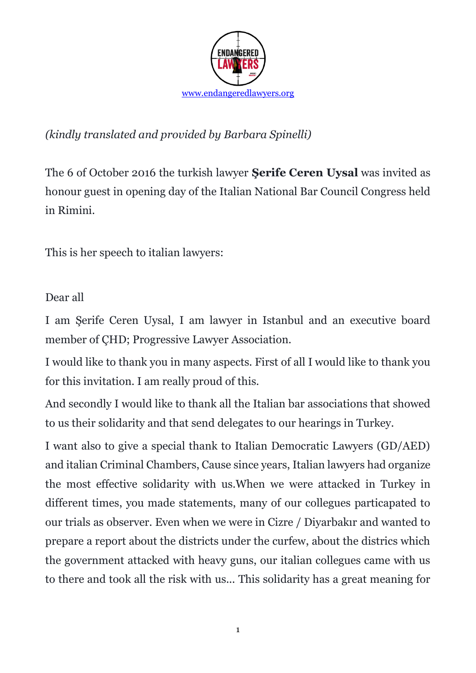

## *(kindly translated and provided by Barbara Spinelli)*

The 6 of October 2016 the turkish lawyer **Şerife [Ceren Uysal](https://www.facebook.com/serifecerenuysal)** was invited as honour guest in opening day of the Italian National Bar Council Congress held in Rimini.

This is her speech to italian lawyers:

## Dear all

I am Şerife Ceren Uysal, I am lawyer in Istanbul and an executive board member of ÇHD; Progressive Lawyer Association.

I would like to thank you in many aspects. First of all I would like to thank you for this invitation. I am really proud of this.

And secondly I would like to thank all the Italian bar associations that showed to us their solidarity and that send delegates to our hearings in Turkey.

I want also to give a special thank to Italian Democratic Lawyers (GD/AED) and italian Criminal Chambers, Cause since years, Italian lawyers had organize the most effective solidarity with us.When we were attacked in Turkey in different times, you made statements, many of our collegues particapated to our trials as observer. Even when we were in Cizre / Diyarbakır and wanted to prepare a report about the districts under the curfew, about the districs which the government attacked with heavy guns, our italian collegues came with us to there and took all the risk with us... This solidarity has a great meaning for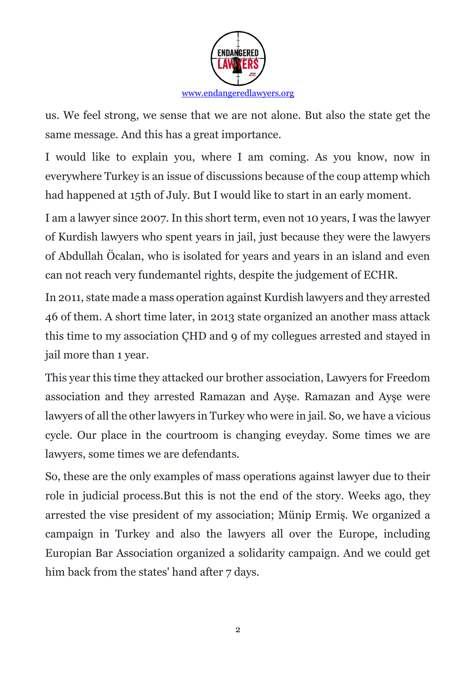

us. We feel strong, we sense that we are not alone. But also the state get the same message. And this has a great importance.

I would like to explain you, where I am coming. As you know, now in everywhere Turkey is an issue of discussions because of the coup attemp which had happened at 15th of July. But I would like to start in an early moment.

I am a lawyer since 2007. In this short term, even not 10 years, I was the lawyer of Kurdish lawyers who spent years in jail, just because they were the lawyers of Abdullah Öcalan, who is isolated for years and years in an island and even can not reach very fundemantel rights, despite the judgement of ECHR.

In 2011, state made a mass operation against Kurdish lawyers and they arrested 46 of them. A short time later, in 2013 state organized an another mass attack this time to my association ÇHD and 9 of my collegues arrested and stayed in jail more than 1 year.

This year this time they attacked our brother association, Lawyers for Freedom association and they arrested Ramazan and Ayşe. Ramazan and Ayşe were lawyers of all the other lawyers in Turkey who were in jail. So, we have a vicious cycle. Our place in the courtroom is changing eveyday. Some times we are lawyers, some times we are defendants.

So, these are the only examples of mass operations against lawyer due to their role in judicial process.But this is not the end of the story. Weeks ago, they arrested the vise president of my association; Münip Ermiş. We organized a campaign in Turkey and also the lawyers all over the Europe, including Europian Bar Association organized a solidarity campaign. And we could get him back from the states' hand after 7 days.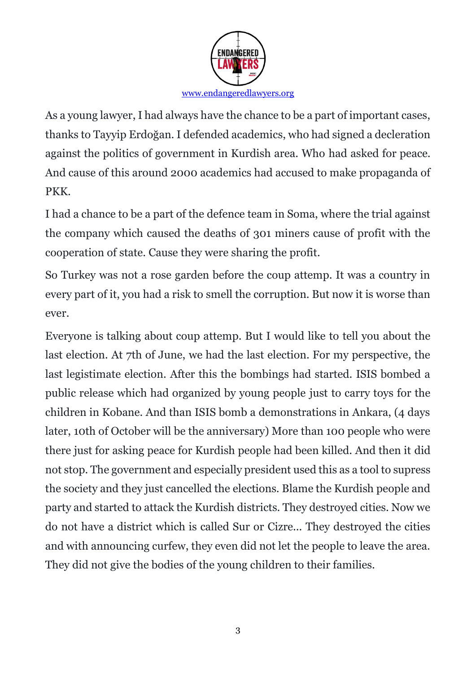

As a young lawyer, I had always have the chance to be a part of important cases, thanks to Tayyip Erdoğan. I defended academics, who had signed a decleration against the politics of government in Kurdish area. Who had asked for peace. And cause of this around 2000 academics had accused to make propaganda of PKK.

I had a chance to be a part of the defence team in Soma, where the trial against the company which caused the deaths of 301 miners cause of profit with the cooperation of state. Cause they were sharing the profit.

So Turkey was not a rose garden before the coup attemp. It was a country in every part of it, you had a risk to smell the corruption. But now it is worse than ever.

Everyone is talking about coup attemp. But I would like to tell you about the last election. At 7th of June, we had the last election. For my perspective, the last legistimate election. After this the bombings had started. ISIS bombed a public release which had organized by young people just to carry toys for the children in Kobane. And than ISIS bomb a demonstrations in Ankara, (4 days later, 10th of October will be the anniversary) More than 100 people who were there just for asking peace for Kurdish people had been killed. And then it did not stop. The government and especially president used this as a tool to supress the society and they just cancelled the elections. Blame the Kurdish people and party and started to attack the Kurdish districts. They destroyed cities. Now we do not have a district which is called Sur or Cizre... They destroyed the cities and with announcing curfew, they even did not let the people to leave the area. They did not give the bodies of the young children to their families.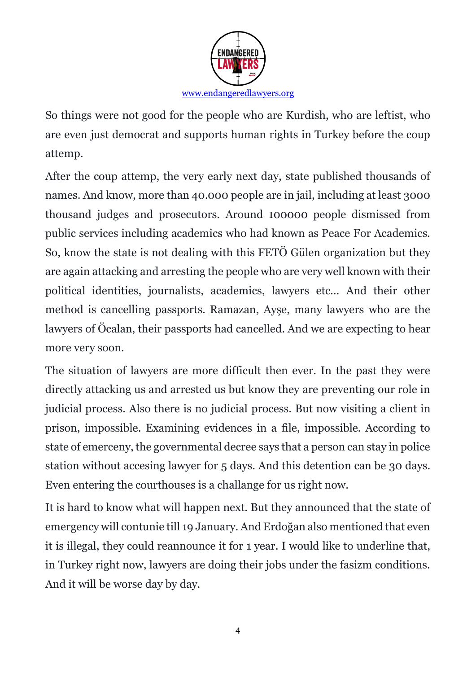

So things were not good for the people who are Kurdish, who are leftist, who are even just democrat and supports human rights in Turkey before the coup attemp.

After the coup attemp, the very early next day, state published thousands of names. And know, more than 40.000 people are in jail, including at least 3000 thousand judges and prosecutors. Around 100000 people dismissed from public services including academics who had known as Peace For Academics. So, know the state is not dealing with this FETÖ Gülen organization but they are again attacking and arresting the people who are very well known with their political identities, journalists, academics, lawyers etc... And their other method is cancelling passports. Ramazan, Ayşe, many lawyers who are the lawyers of Öcalan, their passports had cancelled. And we are expecting to hear more very soon.

The situation of lawyers are more difficult then ever. In the past they were directly attacking us and arrested us but know they are preventing our role in judicial process. Also there is no judicial process. But now visiting a client in prison, impossible. Examining evidences in a file, impossible. According to state of emerceny, the governmental decree says that a person can stay in police station without accesing lawyer for 5 days. And this detention can be 30 days. Even entering the courthouses is a challange for us right now.

It is hard to know what will happen next. But they announced that the state of emergency will contunie till 19 January. And Erdoğan also mentioned that even it is illegal, they could reannounce it for 1 year. I would like to underline that, in Turkey right now, lawyers are doing their jobs under the fasizm conditions. And it will be worse day by day.